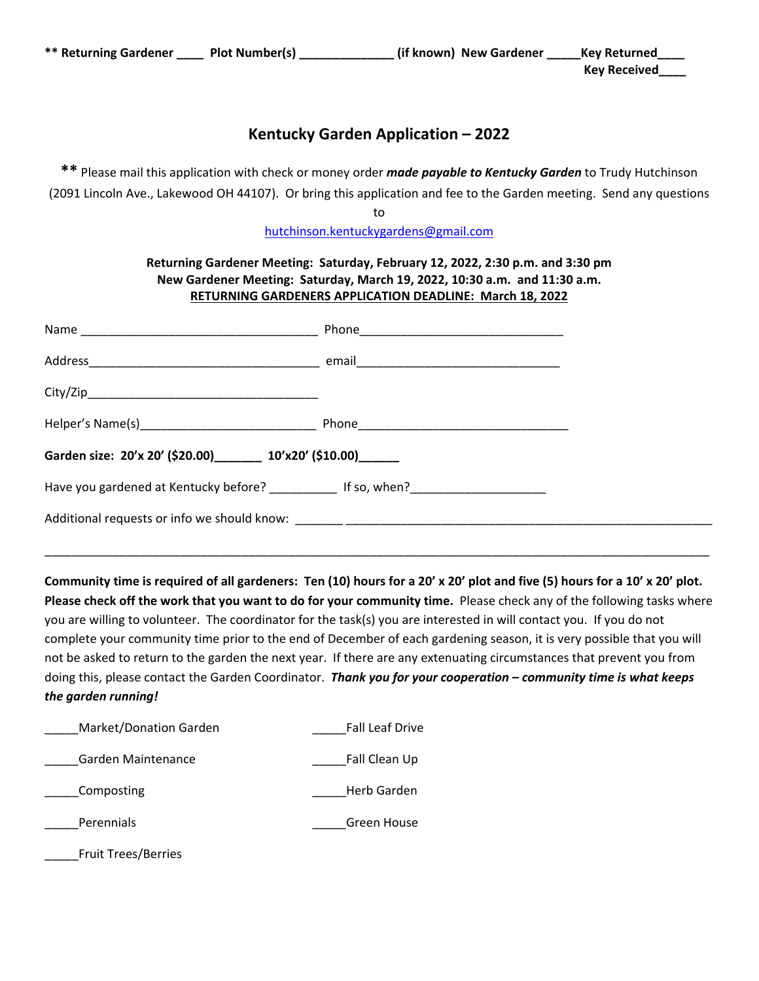## **Kentucky Garden Application – 2022**

**\*\*** Please mail this application with check or money order *made payable to Kentucky Garden* to Trudy Hutchinson (2091 Lincoln Ave., Lakewood OH 44107). Or bring this application and fee to the Garden meeting. Send any questions

to

hutchinson.kentuckygardens@gmail.com

## **Returning Gardener Meeting: Saturday, February 12, 2022, 2:30 p.m. and 3:30 pm New Gardener Meeting: Saturday, March 19, 2022, 10:30 a.m. and 11:30 a.m. RETURNING GARDENERS APPLICATION DEADLINE: March 18, 2022**

|                                                                   | Phone 2008 2009 2010 2021 2022 2023 2024 2022 2022 2023 2024 2022 2023 2024 2022 2023 2024 2025 2026 2027 2028 |  |
|-------------------------------------------------------------------|----------------------------------------------------------------------------------------------------------------|--|
|                                                                   |                                                                                                                |  |
|                                                                   |                                                                                                                |  |
|                                                                   |                                                                                                                |  |
| Garden size: 20'x 20' (\$20.00) ________ 10'x20' (\$10.00) ______ |                                                                                                                |  |
| Have you gardened at Kentucky before? The Many of If so, when?    |                                                                                                                |  |
|                                                                   |                                                                                                                |  |

Community time is required of all gardeners: Ten (10) hours for a 20' x 20' plot and five (5) hours for a 10' x 20' plot. **Please check off the work that you want to do for your community time.** Please check any of the following tasks where you are willing to volunteer. The coordinator for the task(s) you are interested in will contact you. If you do not complete your community time prior to the end of December of each gardening season, it is very possible that you will not be asked to return to the garden the next year. If there are any extenuating circumstances that prevent you from doing this, please contact the Garden Coordinator. *Thank you for your cooperation – community time is what keeps the garden running!*

\_\_\_\_\_\_\_\_\_\_\_\_\_\_\_\_\_\_\_\_\_\_\_\_\_\_\_\_\_\_\_\_\_\_\_\_\_\_\_\_\_\_\_\_\_\_\_\_\_\_\_\_\_\_\_\_\_\_\_\_\_\_\_\_\_\_\_\_\_\_\_\_\_\_\_\_\_\_\_\_\_\_\_\_\_\_\_\_\_\_\_\_\_\_\_\_\_\_

| Market/Donation Garden     | <b>Fall Leaf Drive</b> |
|----------------------------|------------------------|
| Garden Maintenance         | Fall Clean Up          |
| Composting                 | Herb Garden            |
| Perennials                 | Green House            |
| <b>Fruit Trees/Berries</b> |                        |